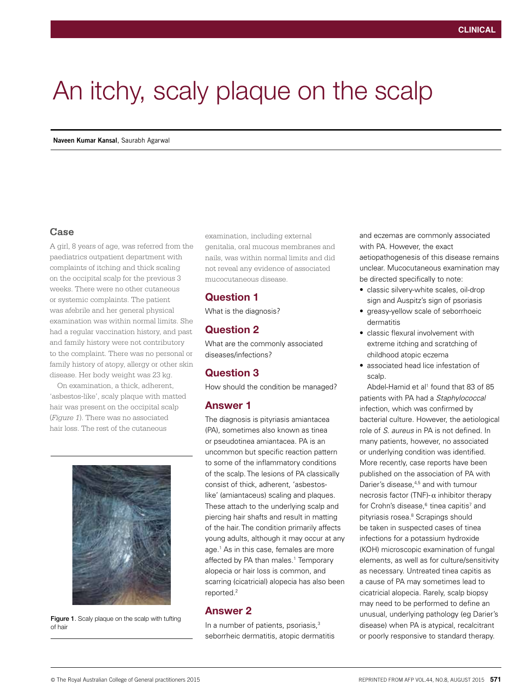# An itchy, scaly plaque on the scalp

### **Case**

A girl, 8 years of age, was referred from the paediatrics outpatient department with complaints of itching and thick scaling on the occipital scalp for the previous 3 weeks. There were no other cutaneous or systemic complaints. The patient was afebrile and her general physical examination was within normal limits. She had a regular vaccination history, and past and family history were not contributory to the complaint. There was no personal or family history of atopy, allergy or other skin disease. Her body weight was 23 kg.

On examination, a thick, adherent, 'asbestos-like', scaly plaque with matted hair was present on the occipital scalp (*Figure 1*). There was no associated hair loss. The rest of the cutaneous



Figure 1. Scaly plaque on the scalp with tufting of hair

examination, including external genitalia, oral mucous membranes and nails, was within normal limits and did not reveal any evidence of associated mucocutaneous disease.

# Question 1

What is the diagnosis?

# Question 2

What are the commonly associated diseases/infections?

# Question 3

How should the condition be managed?

# Answer 1

The diagnosis is pityriasis amiantacea (PA), sometimes also known as tinea or pseudotinea amiantacea. PA is an uncommon but specific reaction pattern to some of the inflammatory conditions of the scalp. The lesions of PA classically consist of thick, adherent, 'asbestoslike' (amiantaceus) scaling and plaques. These attach to the underlying scalp and piercing hair shafts and result in matting of the hair. The condition primarily affects young adults, although it may occur at any age.1 As in this case, females are more affected by PA than males.<sup>1</sup> Temporary alopecia or hair loss is common, and scarring (cicatricial) alopecia has also been reported.2

## Answer 2

In a number of patients, psoriasis,<sup>3</sup> seborrheic dermatitis, atopic dermatitis and eczemas are commonly associated with PA. However, the exact aetiopathogenesis of this disease remains unclear. Mucocutaneous examination may be directed specifically to note:

- classic silvery-white scales, oil-drop sign and Auspitz's sign of psoriasis
- greasy-yellow scale of seborrhoeic dermatitis
- classic flexural involvement with extreme itching and scratching of childhood atopic eczema
- associated head lice infestation of scalp.

Abdel-Hamid et al<sup>1</sup> found that 83 of 85 patients with PA had a *Staphylococcal* infection, which was confirmed by bacterial culture. However, the aetiological role of *S. aureus* in PA is not defined. In many patients, however, no associated or underlying condition was identified. More recently, case reports have been published on the association of PA with Darier's disease,<sup>4,5</sup> and with tumour necrosis factor (TNF)-α inhibitor therapy for Crohn's disease, $6$  tinea capitis<sup>7</sup> and pityriasis rosea.<sup>8</sup> Scrapings should be taken in suspected cases of tinea infections for a potassium hydroxide (KOH) microscopic examination of fungal elements, as well as for culture/sensitivity as necessary. Untreated tinea capitis as a cause of PA may sometimes lead to cicatricial alopecia. Rarely, scalp biopsy may need to be performed to define an unusual, underlying pathology (eg Darier's disease) when PA is atypical, recalcitrant or poorly responsive to standard therapy.